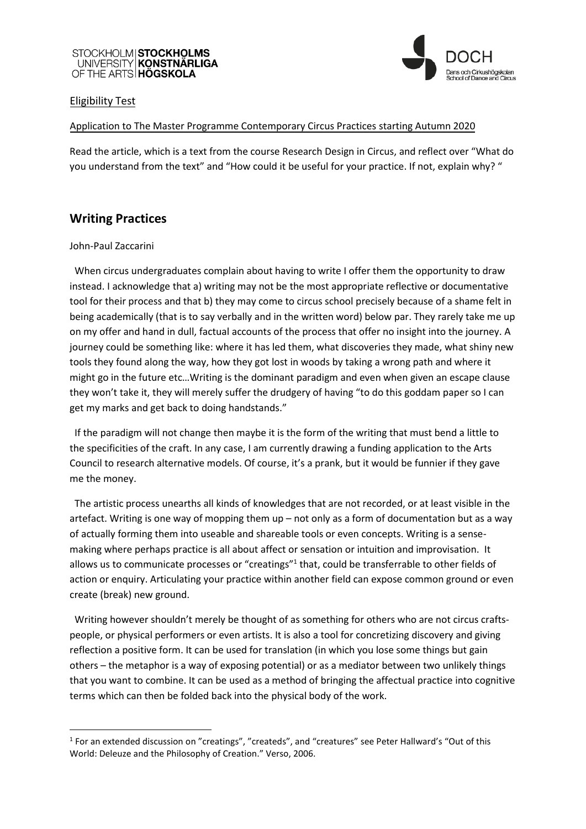## STOCKHOLM|STOCKHOLMS<br>UNIVERSITY|KONSTNÄRLIGA OF THE ARTS **HÖGSKOLA**



### Eligibility Test

### Application to The Master Programme Contemporary Circus Practices starting Autumn 2020

Read the article, which is a text from the course Research Design in Circus, and reflect over "What do you understand from the text" and "How could it be useful for your practice. If not, explain why? "

### **Writing Practices**

### John-Paul Zaccarini

 When circus undergraduates complain about having to write I offer them the opportunity to draw instead. I acknowledge that a) writing may not be the most appropriate reflective or documentative tool for their process and that b) they may come to circus school precisely because of a shame felt in being academically (that is to say verbally and in the written word) below par. They rarely take me up on my offer and hand in dull, factual accounts of the process that offer no insight into the journey. A journey could be something like: where it has led them, what discoveries they made, what shiny new tools they found along the way, how they got lost in woods by taking a wrong path and where it might go in the future etc…Writing is the dominant paradigm and even when given an escape clause they won't take it, they will merely suffer the drudgery of having "to do this goddam paper so I can get my marks and get back to doing handstands."

 If the paradigm will not change then maybe it is the form of the writing that must bend a little to the specificities of the craft. In any case, I am currently drawing a funding application to the Arts Council to research alternative models. Of course, it's a prank, but it would be funnier if they gave me the money.

 The artistic process unearths all kinds of knowledges that are not recorded, or at least visible in the artefact. Writing is one way of mopping them  $up$  – not only as a form of documentation but as a way of actually forming them into useable and shareable tools or even concepts. Writing is a sensemaking where perhaps practice is all about affect or sensation or intuition and improvisation. It allows us to communicate processes or "creatings"<sup>1</sup> that, could be transferrable to other fields of action or enquiry. Articulating your practice within another field can expose common ground or even create (break) new ground.

 Writing however shouldn't merely be thought of as something for others who are not circus craftspeople, or physical performers or even artists. It is also a tool for concretizing discovery and giving reflection a positive form. It can be used for translation (in which you lose some things but gain others – the metaphor is a way of exposing potential) or as a mediator between two unlikely things that you want to combine. It can be used as a method of bringing the affectual practice into cognitive terms which can then be folded back into the physical body of the work.

<sup>&</sup>lt;sup>1</sup> For an extended discussion on "creatings", "createds", and "creatures" see Peter Hallward's "Out of this World: Deleuze and the Philosophy of Creation." Verso, 2006.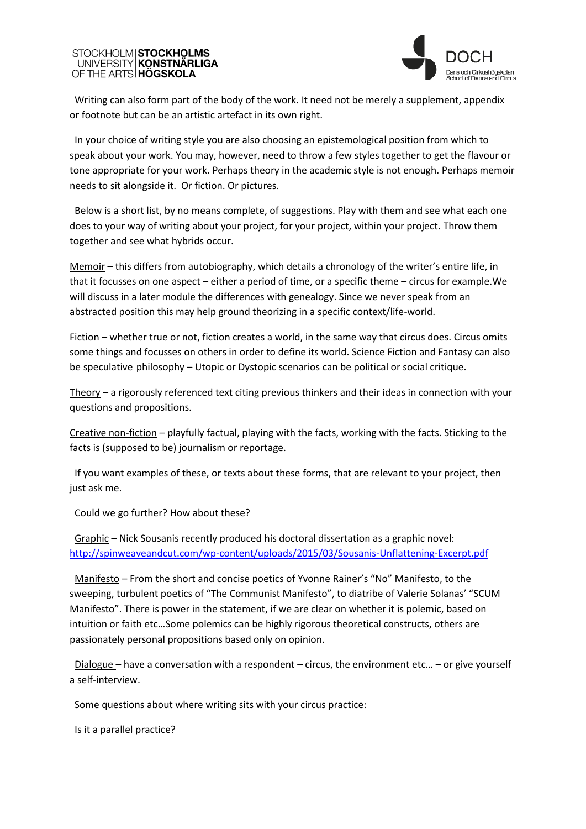# STOCKHOLM|**STOCKHOLMS**<br>UNIVERSITY|**KONSTNÄRLIGA** OF THE ARTS **HÖGSKOLA**



 Writing can also form part of the body of the work. It need not be merely a supplement, appendix or footnote but can be an artistic artefact in its own right.

 In your choice of writing style you are also choosing an epistemological position from which to speak about your work. You may, however, need to throw a few styles together to get the flavour or tone appropriate for your work. Perhaps theory in the academic style is not enough. Perhaps memoir needs to sit alongside it. Or fiction. Or pictures.

 Below is a short list, by no means complete, of suggestions. Play with them and see what each one does to your way of writing about your project, for your project, within your project. Throw them together and see what hybrids occur.

Memoir – this differs from autobiography, which details a chronology of the writer's entire life, in that it focusses on one aspect – either a period of time, or a specific theme – circus for example.We will discuss in a later module the differences with genealogy. Since we never speak from an abstracted position this may help ground theorizing in a specific context/life-world.

Fiction – whether true or not, fiction creates a world, in the same way that circus does. Circus omits some things and focusses on others in order to define its world. Science Fiction and Fantasy can also be speculative philosophy – Utopic or Dystopic scenarios can be political or social critique.

Theory – a rigorously referenced text citing previous thinkers and their ideas in connection with your questions and propositions.

Creative non-fiction – playfully factual, playing with the facts, working with the facts. Sticking to the facts is (supposed to be) journalism or reportage.

 If you want examples of these, or texts about these forms, that are relevant to your project, then just ask me.

Could we go further? How about these?

 Graphic – Nick Sousanis recently produced his doctoral dissertation as a graphic novel: <http://spinweaveandcut.com/wp-content/uploads/2015/03/Sousanis-Unflattening-Excerpt.pdf>

 Manifesto – From the short and concise poetics of Yvonne Rainer's "No" Manifesto, to the sweeping, turbulent poetics of "The Communist Manifesto", to diatribe of Valerie Solanas' "SCUM Manifesto". There is power in the statement, if we are clear on whether it is polemic, based on intuition or faith etc…Some polemics can be highly rigorous theoretical constructs, others are passionately personal propositions based only on opinion.

 Dialogue – have a conversation with a respondent – circus, the environment etc… – or give yourself a self-interview.

Some questions about where writing sits with your circus practice:

Is it a parallel practice?